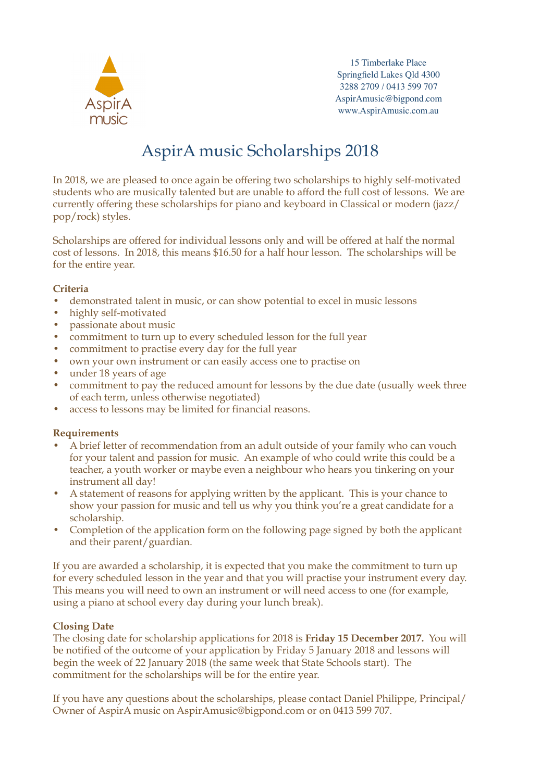

15 Timberlake Place Springfield Lakes Qld 4300 3288 2709 / 0413 599 707 AspirAmusic@bigpond.com www.AspirAmusic.com.au

# AspirA music Scholarships 2018

In 2018, we are pleased to once again be offering two scholarships to highly self-motivated students who are musically talented but are unable to afford the full cost of lessons. We are currently offering these scholarships for piano and keyboard in Classical or modern (jazz/ pop/rock) styles.

Scholarships are offered for individual lessons only and will be offered at half the normal cost of lessons. In 2018, this means \$16.50 for a half hour lesson. The scholarships will be for the entire year.

### **Criteria**

- demonstrated talent in music, or can show potential to excel in music lessons
- highly self-motivated
- passionate about music
- commitment to turn up to every scheduled lesson for the full year
- commitment to practise every day for the full year
- own your own instrument or can easily access one to practise on
- under 18 years of age
- commitment to pay the reduced amount for lessons by the due date (usually week three of each term, unless otherwise negotiated)
- access to lessons may be limited for financial reasons.

### **Requirements**

- A brief letter of recommendation from an adult outside of your family who can vouch for your talent and passion for music. An example of who could write this could be a teacher, a youth worker or maybe even a neighbour who hears you tinkering on your instrument all day!
- A statement of reasons for applying written by the applicant. This is your chance to show your passion for music and tell us why you think you're a great candidate for a scholarship.
- Completion of the application form on the following page signed by both the applicant and their parent/guardian.

If you are awarded a scholarship, it is expected that you make the commitment to turn up for every scheduled lesson in the year and that you will practise your instrument every day. This means you will need to own an instrument or will need access to one (for example, using a piano at school every day during your lunch break).

### **Closing Date**

The closing date for scholarship applications for 2018 is **Friday 15 December 2017.** You will be notified of the outcome of your application by Friday 5 January 2018 and lessons will begin the week of 22 January 2018 (the same week that State Schools start). The commitment for the scholarships will be for the entire year.

If you have any questions about the scholarships, please contact Daniel Philippe, Principal/ Owner of AspirA music on AspirAmusic@bigpond.com or on 0413 599 707.